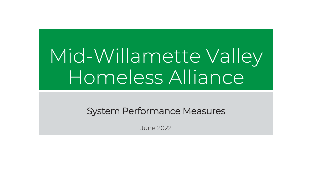# Mid-Willamette Valley Homeless Alliance<sup>l</sup>

System Performance Measures

June 2022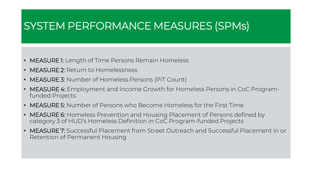# SYSTEM PERFORMANCE MEASURES (SPMs)

- MEASURE 1: Length of Time Persons Remain Homeless
- MEASURE 2: Return to Homelessness
- MEASURE 3: Number of Homeless Persons (PIT Count)
- MEASURE 4: Employment and Income Growth for Homeless Persons in CoC Programfunded Projects
- MEASURE 5: Number of Persons who Become Homeless for the First Time
- MEASURE 6: Homeless Prevention and Housing Placement of Persons defined by category 3 of HUD's Homeless Definition in CoC Program-funded Projects
- MEASURE 7: Successful Placement from Street Outreach and Successful Placement in or Retention of Permanent Housing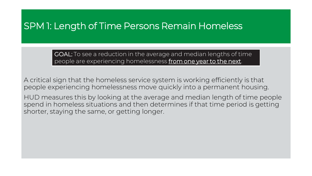### SPM 1: Length of Time Persons Remain Homeless

GOAL: To see a reduction in the average and median lengths of time people are experiencing homelessness from one year to the next.

A critical sign that the homeless service system is working efficiently is that people experiencing homelessness move quickly into a permanent housing.

HUD measures this by looking at the average and median length of time people spend in homeless situations and then determines if that time period is getting shorter, staying the same, or getting longer.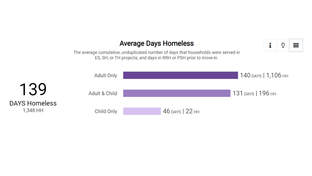#### **Average Days Homeless**

₩

i

ဂ

The average cumulative, unduplicated number of days that households were served in ES, SH, or TH projects; and days in RRH or PSH prior to move-in.

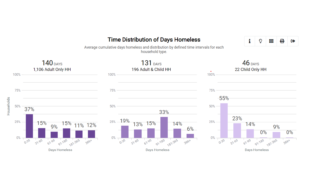#### **Time Distribution of Days Homeless**



Average cumulative days homeless and distribution by defined time intervals for each household type.

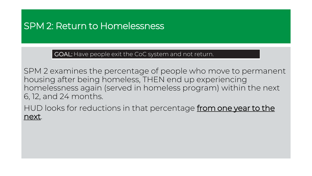### SPM 2: Return to Homelessness

GOAL: Have people exit the CoC system and not return.

SPM 2 examines the percentage of people who move to permanent housing after being homeless, THEN end up experiencing homelessness again (served in homeless program) within the next 6, 12, and 24 months.

HUD looks for reductions in that percentage from one year to the next.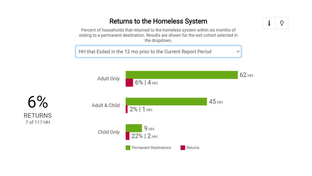#### **Returns to the Homeless System**

Percent of households that returned to the homeless system within six months of exiting to a permanent destination. Results are shown for the exit cohort selected in the dropdown.

HH that Exited in the 12 mo prior to the Current Report Period



i  $\mathbf{\mathcal{Q}}$ 

 $\checkmark$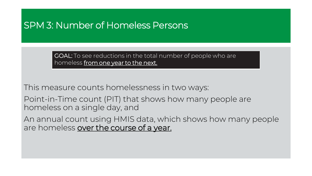### SPM 3: Number of Homeless Persons

GOAL: To see reductions in the total number of people who are homeless from one year to the next.

This measure counts homelessness in two ways:

Point-in-Time count (PIT) that shows how many people are homeless on a single day, and

An annual count using HMIS data, which shows how many people are homeless over the course of a year.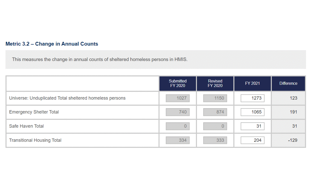#### **Metric 3.2 - Change in Annual Counts**

This measures the change in annual counts of sheltered homeless persons in HMIS.

|                                                         | Submitted<br>FY 2020 | Revised<br>FY 2020 | FY 2021 | <b>Difference</b> |
|---------------------------------------------------------|----------------------|--------------------|---------|-------------------|
| Universe: Unduplicated Total sheltered homeless persons | 1027                 | 1150               | 1273    | 123               |
| <b>Emergency Shelter Total</b>                          | 740                  | 874                | 1065    | 191               |
| Safe Haven Total                                        | $\overline{0}$       | $\overline{0}$     | 31      | 31                |
| <b>Transitional Housing Total</b>                       | 334                  | 333                | 204     | $-129$            |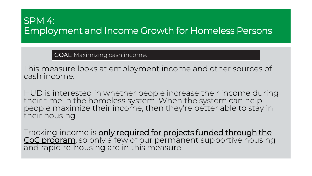### SPM 4: Employment and Income Growth for Homeless Persons

GOAL: Maximizing cash income.

This measure looks at employment income and other sources of cash income.

HUD is interested in whether people increase their income during their time in the homeless system. When the system can help people maximize their income, then they're better able to stay in their housing.

Tracking income is only required for projects funded through the CoC program, so only a few of our permanent supportive housing and rapid re-housing are in this measure.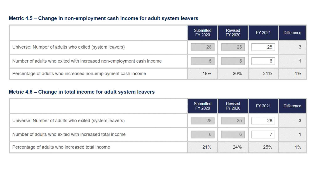#### Metric 4.5 - Change in non-employment cash income for adult system leavers

|                                                                       | Submitted<br>FY 2020 | Revised<br>FY 2020 | FY 2021 | <b>Difference</b> |
|-----------------------------------------------------------------------|----------------------|--------------------|---------|-------------------|
| Universe: Number of adults who exited (system leavers)                | 28                   | 25                 | 28      | 3                 |
| Number of adults who exited with increased non-employment cash income | 5                    | 5                  | 6       |                   |
| Percentage of adults who increased non-employment cash income         | 18%                  | 20%                | 21%     | 1%                |

#### Metric 4.6 - Change in total income for adult system leavers

|                                                         | Submitted<br>FY 2020 | Revised<br>FY 2020 | FY 2021 | <b>Difference</b> |
|---------------------------------------------------------|----------------------|--------------------|---------|-------------------|
| Universe: Number of adults who exited (system leavers)  | 28                   | 25                 | 28      |                   |
| Number of adults who exited with increased total income | 6                    | 6                  |         |                   |
| Percentage of adults who increased total income         | 21%                  | 24%                | 25%     | 1%                |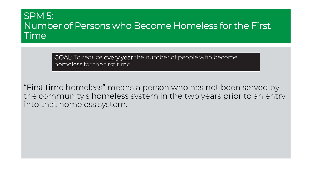### SPM 5: Number of Persons who Become Homeless for the First Time

GOAL: To reduce **every year** the number of people who become homeless for the first time.

"First time homeless" means a person who has not been served by the community's homeless system in the two years prior to an entry into that homeless system.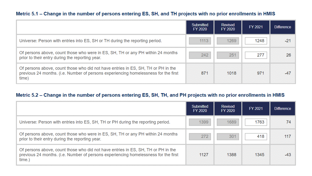#### Metric 5.1 - Change in the number of persons entering ES, SH, and TH projects with no prior enrollments in HMIS

|                                                                                                                                                                                   | Submitted<br>FY 2020 | <b>Revised</b><br>FY 2020 | FY 2021 | <b>Difference</b> |
|-----------------------------------------------------------------------------------------------------------------------------------------------------------------------------------|----------------------|---------------------------|---------|-------------------|
| Universe: Person with entries into ES, SH or TH during the reporting period.                                                                                                      | 1113                 | 1269                      | 1248    | $-21$             |
| Of persons above, count those who were in ES, SH, TH or any PH within 24 months<br>prior to their entry during the reporting year.                                                | 242                  | 251                       | 277     |                   |
| Of persons above, count those who did not have entries in ES, SH, TH or PH in the<br>previous 24 months. (i.e. Number of persons experiencing homelessness for the first<br>time) | 871                  | 1018                      | 971     | $-47$             |

#### Metric 5.2 - Change in the number of persons entering ES, SH, TH, and PH projects with no prior enrollments in HMIS

|                                                                                                                                                                                    | Submitted<br>FY 2020 | Revised<br>FY 2020 | FY 2021 | <b>Difference</b> |
|------------------------------------------------------------------------------------------------------------------------------------------------------------------------------------|----------------------|--------------------|---------|-------------------|
| Universe: Person with entries into ES, SH, TH or PH during the reporting period.                                                                                                   | 1399                 | 1689               | 1763    | 74                |
| Of persons above, count those who were in ES, SH, TH or any PH within 24 months<br>prior to their entry during the reporting year.                                                 | 272                  | 301                | 418     | 117               |
| Of persons above, count those who did not have entries in ES, SH, TH or PH in the<br>previous 24 months. (i.e. Number of persons experiencing homelessness for the first<br>time.) | 1127                 | 1388               | 1345    |                   |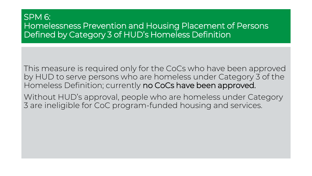#### SPM 6: Homelessness Prevention and Housing Placement of Persons Defined by Category 3 of HUD's Homeless Definition

This measure is required only for the CoCs who have been approved by HUD to serve persons who are homeless under Category 3 of the Homeless Definition; currently no CoCs have been approved.

Without HUD's approval, people who are homeless under Category 3 are ineligible for CoC program-funded housing and services.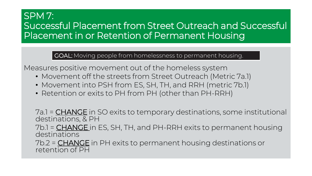## SPM 7: Successful Placement from Street Outreach and Successful Placement in or Retention of Permanent Housing

GOAL: Moving people from homelessness to permanent housing.

Measures positive movement out of the homeless system

- Movement off the streets from Street Outreach (Metric 7a.1)
- Movement into PSH from ES, SH, TH, and RRH (metric 7b.1)
- Retention or exits to PH from PH (other than PH-RRH)

7a.1 = **CHANGE** in SO exits to temporary destinations, some institutional destinations, & PH

7b.1 = **CHANGE** in ES, SH, TH, and PH-RRH exits to permanent housing destinations

7b.2 = CHANGE in PH exits to permanent housing destinations or retention of PH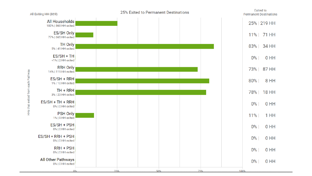